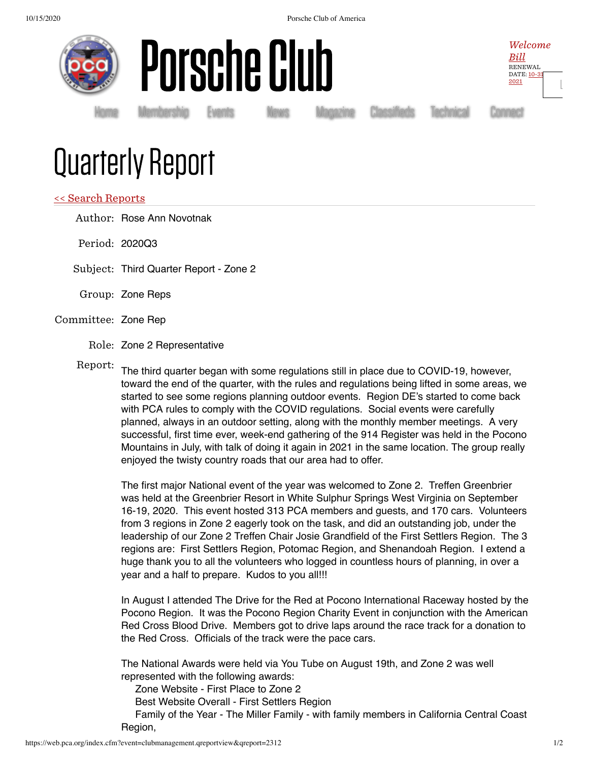10/15/2020 Porsche Club of America





[Home](https://www.pca.org/) [Membership](https://www.pca.org/membership) [Events](https://www.pca.org/events) [News](https://www.pca.org/news) [Magazine](https://www.pca.org/panorama/edition/panorama-june-2015) [Classifieds](https://www.pca.org/browse-the-mart-classified-ads) [Technical](https://www.pca.org/technical-question-search) [Connect](https://www.pca.org/contact)

Welcome [Bill](https://www.pca.org/user) RENEWAL [DATE:](https://www.pca.org/user) 10-31 2021

[L](https://web.pca.org/index.cfm?event=general.logout)

## Quarterly Report

## << Search [Reports](https://web.pca.org/?event=clubmanagement.qreports)

Author: Rose Ann Novotnak

Period: 2020Q3

Subject: Third Quarter Report - Zone 2

Group: Zone Reps

## Committee: Zone Rep

Role: Zone 2 Representative

Report: The third quarter began with some regulations still in place due to COVID-19, however, toward the end of the quarter, with the rules and regulations being lifted in some areas, we started to see some regions planning outdoor events. Region DE's started to come back with PCA rules to comply with the COVID regulations. Social events were carefully planned, always in an outdoor setting, along with the monthly member meetings. A very successful, first time ever, week-end gathering of the 914 Register was held in the Pocono Mountains in July, with talk of doing it again in 2021 in the same location. The group really enjoyed the twisty country roads that our area had to offer.

The first major National event of the year was welcomed to Zone 2. Treffen Greenbrier was held at the Greenbrier Resort in White Sulphur Springs West Virginia on September 16-19, 2020. This event hosted 313 PCA members and guests, and 170 cars. Volunteers from 3 regions in Zone 2 eagerly took on the task, and did an outstanding job, under the leadership of our Zone 2 Treffen Chair Josie Grandfield of the First Settlers Region. The 3 regions are: First Settlers Region, Potomac Region, and Shenandoah Region. I extend a huge thank you to all the volunteers who logged in countless hours of planning, in over a year and a half to prepare. Kudos to you all!!!

In August I attended The Drive for the Red at Pocono International Raceway hosted by the Pocono Region. It was the Pocono Region Charity Event in conjunction with the American Red Cross Blood Drive. Members got to drive laps around the race track for a donation to the Red Cross. Officials of the track were the pace cars.

The National Awards were held via You Tube on August 19th, and Zone 2 was well represented with the following awards:

Zone Website - First Place to Zone 2

Best Website Overall - First Settlers Region

 Family of the Year - The Miller Family - with family members in California Central Coast Region,